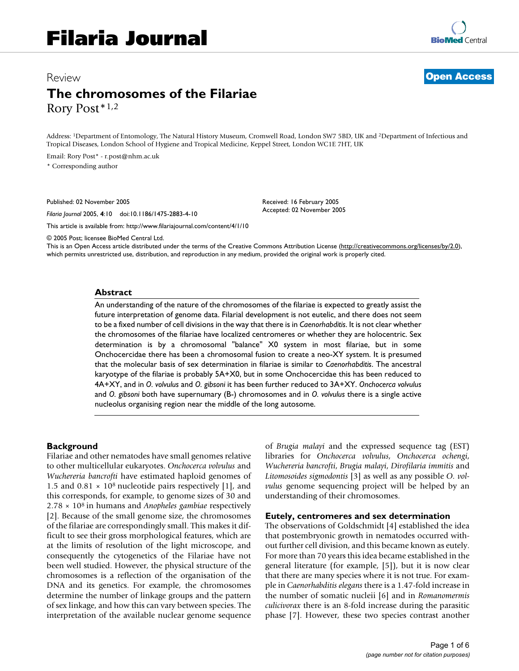## Review **[Open Access](http://www.biomedcentral.com/info/about/charter/)**

# **The chromosomes of the Filariae** Rory Post\*1,2

Address: 1Department of Entomology, The Natural History Museum, Cromwell Road, London SW7 5BD, UK and 2Department of Infectious and Tropical Diseases, London School of Hygiene and Tropical Medicine, Keppel Street, London WC1E 7HT, UK

Email: Rory Post\* - r.post@nhm.ac.uk \* Corresponding author

Published: 02 November 2005

*Filaria Journal* 2005, **4**:10 doi:10.1186/1475-2883-4-10

[This article is available from: http://www.filariajournal.com/content/4/1/10](http://www.filariajournal.com/content/4/1/10)

© 2005 Post; licensee BioMed Central Ltd.

This is an Open Access article distributed under the terms of the Creative Commons Attribution License [\(http://creativecommons.org/licenses/by/2.0\)](http://creativecommons.org/licenses/by/2.0), which permits unrestricted use, distribution, and reproduction in any medium, provided the original work is properly cited.

Received: 16 February 2005 Accepted: 02 November 2005

#### **Abstract**

An understanding of the nature of the chromosomes of the filariae is expected to greatly assist the future interpretation of genome data. Filarial development is not eutelic, and there does not seem to be a fixed number of cell divisions in the way that there is in *Caenorhabditis*. It is not clear whether the chromosomes of the filariae have localized centromeres or whether they are holocentric. Sex determination is by a chromosomal "balance" X0 system in most filariae, but in some Onchocercidae there has been a chromosomal fusion to create a neo-XY system. It is presumed that the molecular basis of sex determination in filariae is similar to *Caenorhabditis*. The ancestral karyotype of the filariae is probably 5A+X0, but in some Onchocercidae this has been reduced to 4A+XY, and in *O. volvulus* and *O. gibsoni* it has been further reduced to 3A+XY. *Onchocerca volvulus* and *O. gibsoni* both have supernumary (B-) chromosomes and in *O. volvulus* there is a single active nucleolus organising region near the middle of the long autosome.

#### **Background**

Filariae and other nematodes have small genomes relative to other multicellular eukaryotes. *Onchocerca volvulus* and *Wuchereria bancrofti* have estimated haploid genomes of 1.5 and 0.81  $\times$  10<sup>8</sup> nucleotide pairs respectively [1], and this corresponds, for example, to genome sizes of 30 and 2.78 × 108 in humans and *Anopheles gambiae* respectively [2]. Because of the small genome size, the chromosomes of the filariae are correspondingly small. This makes it difficult to see their gross morphological features, which are at the limits of resolution of the light microscope, and consequently the cytogenetics of the Filariae have not been well studied. However, the physical structure of the chromosomes is a reflection of the organisation of the DNA and its genetics. For example, the chromosomes determine the number of linkage groups and the pattern of sex linkage, and how this can vary between species. The interpretation of the available nuclear genome sequence of *Brugia malayi* and the expressed sequence tag (EST) libraries for *Onchocerca volvulus*, *Onchocerca ochengi*, *Wuchereria bancrofti*, *Brugia malayi*, *Dirofilaria immitis* and *Litomosoides sigmodontis* [3] as well as any possible *O. volvulus* genome sequencing project will be helped by an understanding of their chromosomes.

#### **Eutely, centromeres and sex determination**

The observations of Goldschmidt [4] established the idea that postembryonic growth in nematodes occurred without further cell division, and this became known as eutely. For more than 70 years this idea became established in the general literature (for example, [5]), but it is now clear that there are many species where it is not true. For example in *Caenorhabditis elegans* there is a 1.47-fold increase in the number of somatic nucleii [6] and in *Romanomermis culicivorax* there is an 8-fold increase during the parasitic phase [7]. However, these two species contrast another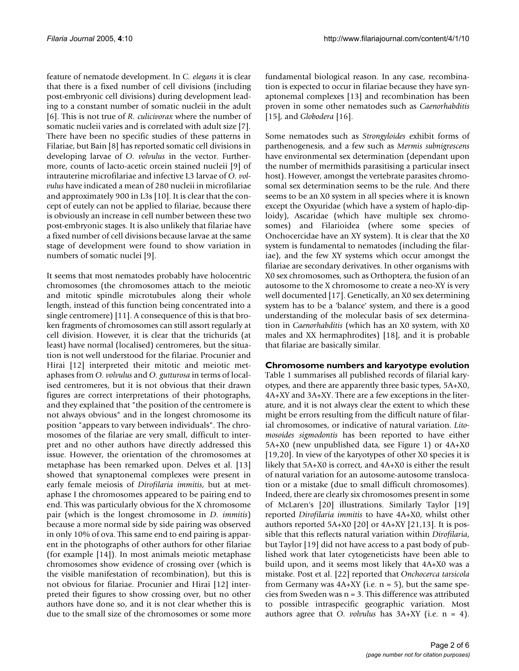feature of nematode development. In *C. elegans* it is clear that there is a fixed number of cell divisions (including post-embryonic cell divisions) during development leading to a constant number of somatic nucleii in the adult [6]. This is not true of *R. culicivorax* where the number of somatic nucleii varies and is correlated with adult size [7]. There have been no specific studies of these patterns in Filariae, but Bain [8] has reported somatic cell divisions in developing larvae of *O. volvulus* in the vector. Furthermore, counts of lacto-acetic orcein stained nucleii [9] of intrauterine microfilariae and infective L3 larvae of *O. volvulus* have indicated a mean of 280 nucleii in microfilariae and approximately 900 in L3s [10]. It is clear that the concept of eutely can not be applied to filariae, because there is obviously an increase in cell number between these two post-embryonic stages. It is also unlikely that filariae have a fixed number of cell divisions because larvae at the same stage of development were found to show variation in numbers of somatic nuclei [9].

It seems that most nematodes probably have holocentric chromosomes (the chromosomes attach to the meiotic and mitotic spindle microtubules along their whole length, instead of this function being concentrated into a single centromere) [11]. A consequence of this is that broken fragments of chromosomes can still assort regularly at cell division. However, it is clear that the trichurids (at least) have normal (localised) centromeres, but the situation is not well understood for the filariae. Procunier and Hirai [12] interpreted their mitotic and meiotic metaphases from *O. volvulus* and *O. gutturosa* in terms of localised centromeres, but it is not obvious that their drawn figures are correct interpretations of their photographs, and they explained that "the position of the centromere is not always obvious" and in the longest chromosome its position "appears to vary between individuals". The chromosomes of the filariae are very small, difficult to interpret and no other authors have directly addressed this issue. However, the orientation of the chromosomes at metaphase has been remarked upon. Delves et al. [[13\]](#page-5-0) showed that synaptonemal complexes were present in early female meiosis of *Dirofilaria immitis*, but at metaphase I the chromosomes appeared to be pairing end to end. This was particularly obvious for the X chromosome pair (which is the longest chromosome in *D. immitis*) because a more normal side by side pairing was observed in only 10% of ova. This same end to end pairing is apparent in the photographs of other authors for other filariae (for example [14]). In most animals meiotic metaphase chromosomes show evidence of crossing over (which is the visible manifestation of recombination), but this is not obvious for filariae. Procunier and Hirai [12] interpreted their figures to show crossing over, but no other authors have done so, and it is not clear whether this is due to the small size of the chromosomes or some more

fundamental biological reason. In any case, recombination is expected to occur in filariae because they have synaptonemal complexes [[13\]](#page-5-0) and recombination has been proven in some other nematodes such as *Caenorhabditis* [15], and *Globodera* [16].

Some nematodes such as *Strongyloides* exhibit forms of parthenogenesis, and a few such as *Mermis subnigrescens* have environmental sex determination (dependant upon the number of mermithids parasitising a particular insect host). However, amongst the vertebrate parasites chromosomal sex determination seems to be the rule. And there seems to be an X0 system in all species where it is known except the Oxyuridae (which have a system of haplo-diploidy), Ascaridae (which have multiple sex chromosomes) and Filarioidea (where some species of Onchocercidae have an XY system). It is clear that the X0 system is fundamental to nematodes (including the filariae), and the few XY systems which occur amongst the filariae are secondary derivatives. In other organisms with X0 sex chromosomes, such as Orthoptera, the fusion of an autosome to the X chromosome to create a neo-XY is very well documented [17]. Genetically, an X0 sex determining system has to be a 'balance' system, and there is a good understanding of the molecular basis of sex determination in *Caenorhabditis* (which has an X0 system, with X0 males and XX hermaphrodites) [18], and it is probable that filariae are basically similar.

## **Chromosome numbers and karyotype evolution**

Table [1](#page-2-0) summarises all published records of filarial karyotypes, and there are apparently three basic types, 5A+X0, 4A+XY and 3A+XY. There are a few exceptions in the literature, and it is not always clear the extent to which these might be errors resulting from the difficult nature of filarial chromosomes, or indicative of natural variation. *Litomosoides sigmodontis* has been reported to have either 5A+X0 (new unpublished data, see Figure 1) or 4A+X0 [19,[20\]](#page-5-1). In view of the karyotypes of other X0 species it is likely that 5A+X0 is correct, and 4A+X0 is either the result of natural variation for an autosome-autosome translocation or a mistake (due to small difficult chromosomes). Indeed, there are clearly six chromosomes present in some of McLaren's [[20\]](#page-5-1) illustrations. Similarly Taylor [19] reported *Dirofilaria immitis* to have 4A+X0, whilst other authors reported 5A+X0 [[20\]](#page-5-1) or 4A+XY [21,[13\]](#page-5-0). It is possible that this reflects natural variation within *Dirofilaria*, but Taylor [19] did not have access to a past body of published work that later cytogeneticists have been able to build upon, and it seems most likely that 4A+X0 was a mistake. Post et al. [22] reported that *Onchocerca tarsicola* from Germany was  $4A+XY$  (i.e.  $n = 5$ ), but the same species from Sweden was n = 3. This difference was attributed to possible intraspecific geographic variation. Most authors agree that *O. volvulus* has 3A+XY (i.e. n = 4).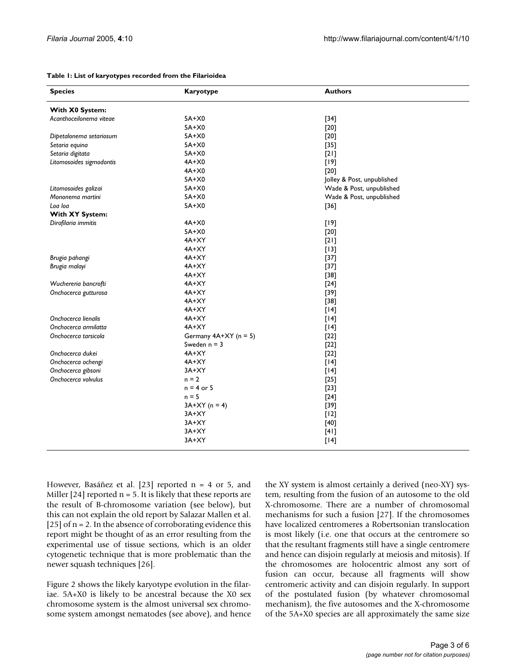| <b>Species</b>           | Karyotype             | <b>Authors</b>             |
|--------------------------|-----------------------|----------------------------|
| With X0 System:          |                       |                            |
| Acanthoceilonema viteae  | $5A+X0$               | $[34]$                     |
|                          | $5A+X0$               | $[20]$                     |
| Dipetalonema setariosum  | $5A+X0$               | $[20]$                     |
| Setaria equina           | $5A+X0$               | $[35]$                     |
| Setaria digitata         | $5A+X0$               | $[21]$                     |
| Litomosoides sigmodontis | 4A+X0                 | $[19]$                     |
|                          | 4A+X0                 | $[20]$                     |
|                          | $5A+X0$               | Jolley & Post, unpublished |
| Litomosoides galizai     | $5A+X0$               | Wade & Post, unpublished   |
| Mononema martini         | $5A+X0$               | Wade & Post, unpublished   |
| Loa loa                  | $5A+X0$               | $[36]$                     |
| With XY System:          |                       |                            |
| Dirofilaria immitis      | $4A+X0$               | $[19]$                     |
|                          | $5A+X0$               | $[20]$                     |
|                          | 4A+XY                 | $[2]$                      |
|                          | 4A+XY                 | $[13]$                     |
| Brugia pahangi           | 4A+XY                 | $[37]$                     |
| Brugia malayi            | 4A+XY                 | $[37]$                     |
|                          | 4A+XY                 | $[38]$                     |
| Wuchereria bancrofti     | 4A+XY                 | $[24]$                     |
| Onchocerca gutturosa     | 4A+XY                 | $[39]$                     |
|                          | 4A+XY                 | $[38]$                     |
|                          | 4A+XY                 | $[14]$                     |
| Onchocerca lienalis      | 4A+XY                 | [14]                       |
| Onchocerca armilatta     | 4A+XY                 | [14]                       |
| Onchocerca tarsicola     | Germany 4A+XY (n = 5) | $[22]$                     |
|                          | Sweden $n = 3$        | $[22]$                     |
| Onchocerca dukei         | 4A+XY                 | $[22]$                     |
| Onchocerca ochengi       | $4A+XY$               | [14]                       |
| Onchocerca gibsoni       | $3A+XY$               | [14]                       |
| Onchocerca volvulus      | $n = 2$               | $[25]$                     |
|                          | $n = 4$ or 5          | $[23]$                     |
|                          | $n = 5$               | $[24]$                     |
|                          | $3A+XY (n = 4)$       | $[39]$                     |
|                          | $3A+XY$               | $[12]$                     |
|                          | 3A+XY                 | $[40]$                     |
|                          | $3A+XY$               | [4]                        |
|                          | 3A+XY                 | $[14]$                     |
|                          |                       |                            |

#### <span id="page-2-0"></span>**Table 1: List of karyotypes recorded from the Filarioidea**

However, Basáñez et al. [23] reported n = 4 or 5, and Miller  $[24]$  reported  $n = 5$ . It is likely that these reports are the result of B-chromosome variation (see below), but this can not explain the old report by Salazar Mallen et al.  $[25]$  of n = 2. In the absence of corroborating evidence this report might be thought of as an error resulting from the experimental use of tissue sections, which is an older cytogenetic technique that is more problematic than the newer squash techniques [26].

Figure 2 shows the likely karyotype evolution in the filariae. 5A+X0 is likely to be ancestral because the X0 sex chromosome system is the almost universal sex chromosome system amongst nematodes (see above), and hence the XY system is almost certainly a derived (neo-XY) system, resulting from the fusion of an autosome to the old X-chromosome. There are a number of chromosomal mechanisms for such a fusion [27]. If the chromosomes have localized centromeres a Robertsonian translocation is most likely (i.e. one that occurs at the centromere so that the resultant fragments still have a single centromere and hence can disjoin regularly at meiosis and mitosis). If the chromosomes are holocentric almost any sort of fusion can occur, because all fragments will show centromeric activity and can disjoin regularly. In support of the postulated fusion (by whatever chromosomal mechanism), the five autosomes and the X-chromosome of the 5A+X0 species are all approximately the same size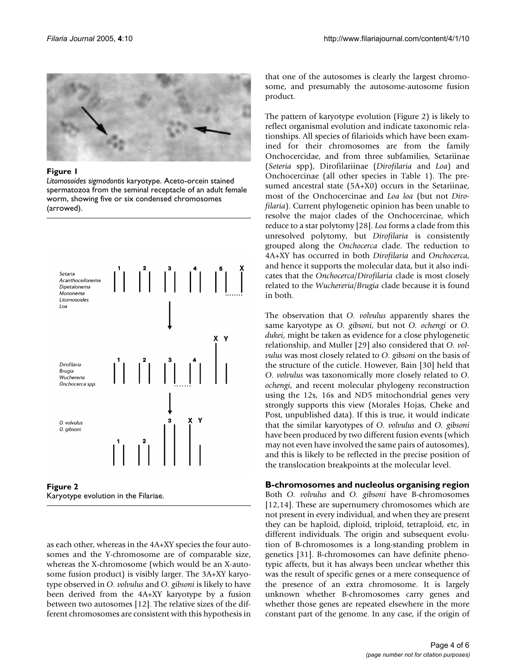

### **Figure 1**

*Litomosoides sigmodontis* karyotype. Aceto-orcein stained spermatozoa from the seminal receptacle of an adult female worm, showing five or six condensed chromosomes (arrowed).



as each other, whereas in the 4A+XY species the four autosomes and the Y-chromosome are of comparable size, whereas the X-chromosome (which would be an X-autosome fusion product) is visibly larger. The 3A+XY karyotype observed in *O. volvulus* and *O. gibsoni* is likely to have been derived from the 4A+XY karyotype by a fusion between two autosomes [12]. The relative sizes of the different chromosomes are consistent with this hypothesis in that one of the autosomes is clearly the largest chromosome, and presumably the autosome-autosome fusion product.

The pattern of karyotype evolution (Figure 2) is likely to reflect organismal evolution and indicate taxonomic relationships. All species of filarioids which have been examined for their chromosomes are from the family Onchocercidae, and from three subfamilies, Setariinae (*Seteria* spp), Dirofilariinae (*Dirofilaria* and *Loa*) and Onchocercinae (all other species in Table [1](#page-2-0)). The presumed ancestral state (5A+X0) occurs in the Setariinae, most of the Onchocercinae and *Loa loa* (but not *Dirofilaria*). Current phylogenetic opinion has been unable to resolve the major clades of the Onchocercinae, which reduce to a star polytomy [28]. *Loa* forms a clade from this unresolved polytomy, but *Dirofilaria* is consistently grouped along the *Onchocerca* clade. The reduction to 4A+XY has occurred in both *Dirofilaria* and *Onchocerca*, and hence it supports the molecular data, but it also indicates that the *Onchocerca*/*Dirofilaria* clade is most closely related to the *Wuchereria*/*Brugia* clade because it is found in both.

The observation that *O. volvulus* apparently shares the same karyotype as *O. gibsoni*, but not *O. ochengi* or *O. dukei*, might be taken as evidence for a close phylogenetic relationship, and Muller [29] also considered that *O. volvulus* was most closely related to *O. gibsoni* on the basis of the structure of the cuticle. However, Bain [30] held that *O. volvulus* was taxonomically more closely related to *O. ochengi*, and recent molecular phylogeny reconstruction using the 12s, 16s and ND5 mitochondrial genes very strongly supports this view (Morales Hojas, Cheke and Post, unpublished data). If this is true, it would indicate that the similar karyotypes of *O. volvulus* and *O. gibsoni* have been produced by two different fusion events (which may not even have involved the same pairs of autosomes), and this is likely to be reflected in the precise position of the translocation breakpoints at the molecular level.

**B-chromosomes and nucleolus organising region**

Both *O. volvulus* and *O. gibsoni* have B-chromosomes [12,14]. These are supernumery chromosomes which are not present in every individual, and when they are present they can be haploid, diploid, triploid, tetraploid, etc, in different individuals. The origin and subsequent evolution of B-chromosomes is a long-standing problem in genetics [31]. B-chromosomes can have definite phenotypic affects, but it has always been unclear whether this was the result of specific genes or a mere consequence of the presence of an extra chromosome. It is largely unknown whether B-chromosomes carry genes and whether those genes are repeated elsewhere in the more constant part of the genome. In any case, if the origin of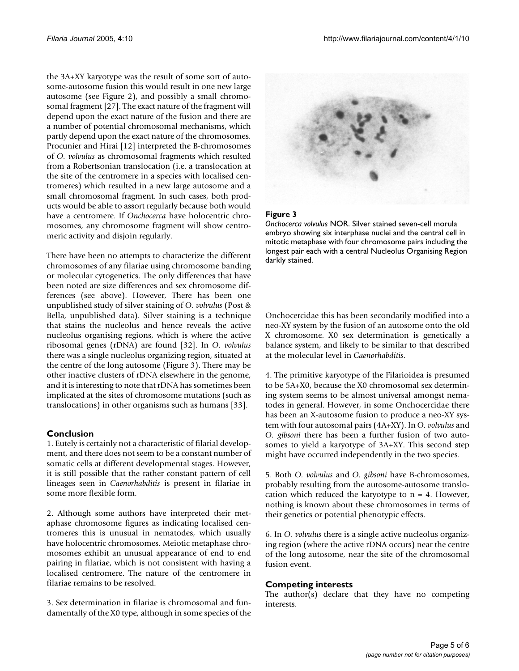the 3A+XY karyotype was the result of some sort of autosome-autosome fusion this would result in one new large autosome (see Figure 2), and possibly a small chromosomal fragment [27]. The exact nature of the fragment will depend upon the exact nature of the fusion and there are a number of potential chromosomal mechanisms, which partly depend upon the exact nature of the chromosomes. Procunier and Hirai [12] interpreted the B-chromosomes of *O. volvulus* as chromosomal fragments which resulted from a Robertsonian translocation (i.e. a translocation at the site of the centromere in a species with localised centromeres) which resulted in a new large autosome and a small chromosomal fragment. In such cases, both products would be able to assort regularly because both would have a centromere. If *Onchocerca* have holocentric chromosomes, any chromosome fragment will show centromeric activity and disjoin regularly.

There have been no attempts to characterize the different chromosomes of any filariae using chromosome banding or molecular cytogenetics. The only differences that have been noted are size differences and sex chromosome differences (see above). However, There has been one unpublished study of silver staining of *O. volvulus* (Post & Bella, unpublished data). Silver staining is a technique that stains the nucleolus and hence reveals the active nucleolus organising regions, which is where the active ribosomal genes (rDNA) are found [32]. In *O. volvulus* there was a single nucleolus organizing region, situated at the centre of the long autosome (Figure 3). There may be other inactive clusters of rDNA elsewhere in the genome, and it is interesting to note that rDNA has sometimes been implicated at the sites of chromosome mutations (such as translocations) in other organisms such as humans [33].

## **Conclusion**

1. Eutely is certainly not a characteristic of filarial development, and there does not seem to be a constant number of somatic cells at different developmental stages. However, it is still possible that the rather constant pattern of cell lineages seen in *Caenorhabditis* is present in filariae in some more flexible form.

2. Although some authors have interpreted their metaphase chromosome figures as indicating localised centromeres this is unusual in nematodes, which usually have holocentric chromosomes. Meiotic metaphase chromosomes exhibit an unusual appearance of end to end pairing in filariae, which is not consistent with having a localised centromere. The nature of the centromere in filariae remains to be resolved.

3. Sex determination in filariae is chromosomal and fundamentally of the X0 type, although in some species of the



#### **Figure 3**

*Onchocerca volvulus* NOR. Silver stained seven-cell morula embryo showing six interphase nuclei and the central cell in mitotic metaphase with four chromosome pairs including the longest pair each with a central Nucleolus Organising Region darkly stained.

Onchocercidae this has been secondarily modified into a neo-XY system by the fusion of an autosome onto the old X chromosome. X0 sex determination is genetically a balance system, and likely to be similar to that described at the molecular level in *Caenorhabditis*.

4. The primitive karyotype of the Filarioidea is presumed to be 5A+X0, because the X0 chromosomal sex determining system seems to be almost universal amongst nematodes in general. However, in some Onchocercidae there has been an X-autosome fusion to produce a neo-XY system with four autosomal pairs (4A+XY). In *O. volvulus* and *O. gibsoni* there has been a further fusion of two autosomes to yield a karyotype of 3A+XY. This second step might have occurred independently in the two species.

5. Both *O. volvulus* and *O. gibsoni* have B-chromosomes, probably resulting from the autosome-autosome translocation which reduced the karyotype to  $n = 4$ . However, nothing is known about these chromosomes in terms of their genetics or potential phenotypic effects.

6. In *O. volvulus* there is a single active nucleolus organizing region (where the active rDNA occurs) near the centre of the long autosome, near the site of the chromosomal fusion event.

## **Competing interests**

The author(s) declare that they have no competing interests.